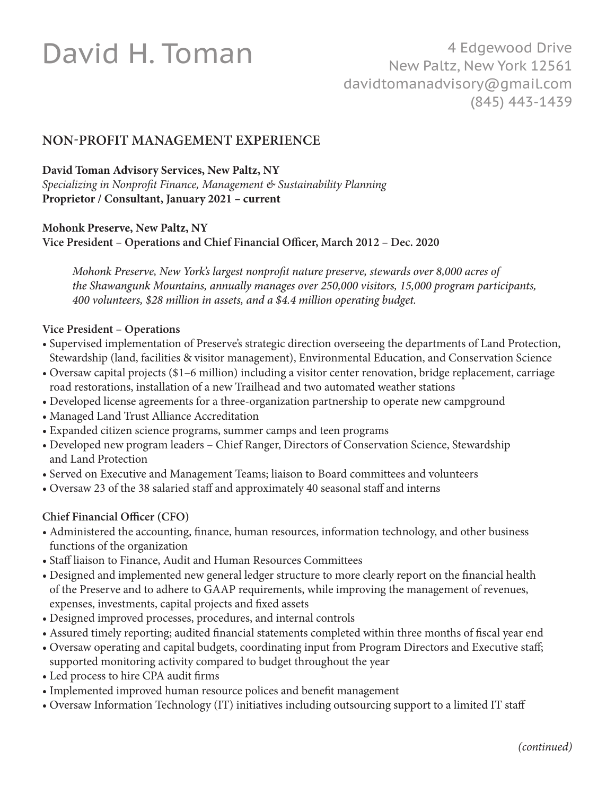# David H. Toman

## **NON-PROFIT MANAGEMENT EXPERIENCE**

**David Toman Advisory Services, New Paltz, NY**

*Specializing in Nonprofit Finance, Management & Sustainability Planning* **Proprietor / Consultant, January 2021 – current**

**Mohonk Preserve, New Paltz, NY**

**Vice President – Operations and Chief Financial Officer, March 2012 – Dec. 2020**

*Mohonk Preserve, New York's largest nonprofit nature preserve, stewards over 8,000 acres of the Shawangunk Mountains, annually manages over 250,000 visitors, 15,000 program participants, 400 volunteers, \$28 million in assets, and a \$4.4 million operating budget.* 

#### **Vice President – Operations**

- •Supervised implementation of Preserve's strategic direction overseeing the departments of Land Protection, Stewardship (land, facilities & visitor management), Environmental Education, and Conservation Science
- Oversaw capital projects (\$1–6 million) including a visitor center renovation, bridge replacement, carriage road restorations, installation of a new Trailhead and two automated weather stations
- Developed license agreements for a three-organization partnership to operate new campground
- Managed Land Trust Alliance Accreditation
- Expanded citizen science programs, summer camps and teen programs
- Developed new program leaders Chief Ranger, Directors of Conservation Science, Stewardship and Land Protection
- Served on Executive and Management Teams; liaison to Board committees and volunteers
- Oversaw 23 of the 38 salaried staff and approximately 40 seasonal staff and interns

#### **Chief Financial Officer (CFO)**

- •Administered the accounting, finance, human resources, information technology, and other business functions of the organization
- •Staff liaison to Finance, Audit and Human Resources Committees
- •Designed and implemented new general ledger structure to more clearly report on the financial health of the Preserve and to adhere to GAAP requirements, while improving the management of revenues, expenses, investments, capital projects and fixed assets
- •Designed improved processes, procedures, and internal controls
- •Assured timely reporting; audited financial statements completed within three months of fiscal year end
- •Oversaw operating and capital budgets, coordinating input from Program Directors and Executive staff; supported monitoring activity compared to budget throughout the year
- •Led process to hire CPA audit firms
- •Implemented improved human resource polices and benefit management
- •Oversaw Information Technology (IT) initiatives including outsourcing support to a limited IT staff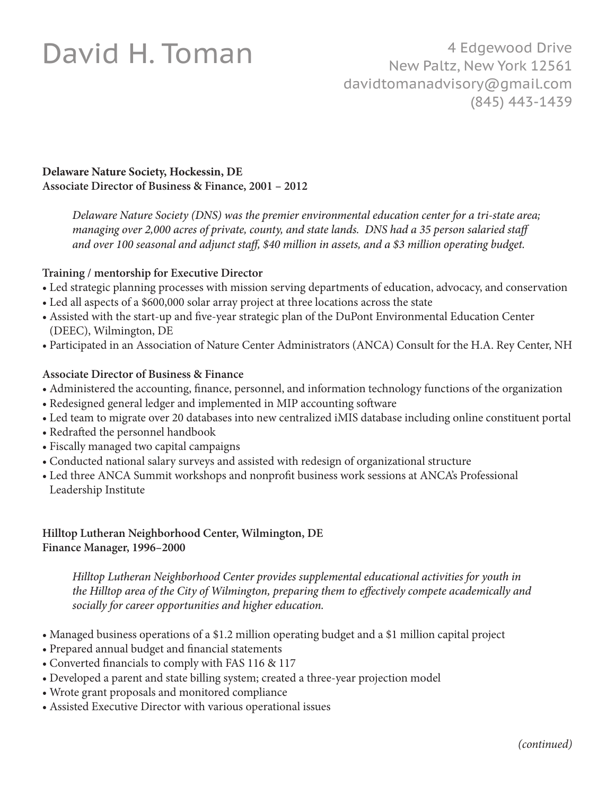## David H. Toman

#### **Delaware Nature Society, Hockessin, DE Associate Director of Business & Finance, 2001 – 2012**

*Delaware Nature Society (DNS) was the premier environmental education center for a tri-state area; managing over 2,000 acres of private, county, and state lands. DNS had a 35 person salaried staff and over 100 seasonal and adjunct staff, \$40 million in assets, and a \$3 million operating budget.* 

#### **Training / mentorship for Executive Director**

- Led strategic planning processes with mission serving departments of education, advocacy, and conservation
- Led all aspects of a \$600,000 solar array project at three locations across the state
- Assisted with the start-up and five-year strategic plan of the DuPont Environmental Education Center (DEEC), Wilmington, DE
- Participated in an Association of Nature Center Administrators (ANCA) Consult for the H.A. Rey Center, NH

#### **Associate Director of Business & Finance**

- Administered the accounting, finance, personnel, and information technology functions of the organization
- Redesigned general ledger and implemented in MIP accounting software
- Led team to migrate over 20 databases into new centralized iMIS database including online constituent portal
- Redrafted the personnel handbook
- Fiscally managed two capital campaigns
- Conducted national salary surveys and assisted with redesign of organizational structure
- Led three ANCA Summit workshops and nonprofit business work sessions at ANCA's Professional Leadership Institute

#### **Hilltop Lutheran Neighborhood Center, Wilmington, DE Finance Manager, 1996–2000**

*Hilltop Lutheran Neighborhood Center provides supplemental educational activities for youth in the Hilltop area of the City of Wilmington, preparing them to effectively compete academically and socially for career opportunities and higher education.*

- Managed business operations of a \$1.2 million operating budget and a \$1 million capital project
- Prepared annual budget and financial statements
- Converted financials to comply with FAS 116 & 117
- Developed a parent and state billing system; created a three-year projection model
- Wrote grant proposals and monitored compliance
- Assisted Executive Director with various operational issues